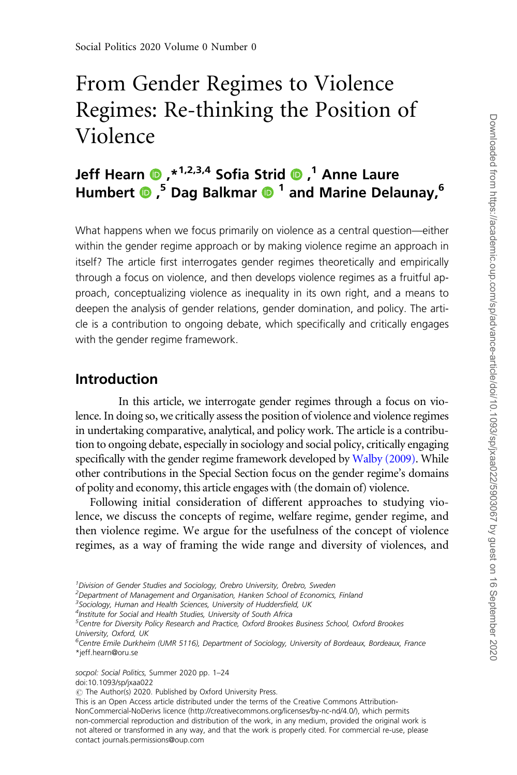# From Gender Regimes to Violence Regimes: Re-thinking the Position of Violence

## Jeff Hearn (D, \*<sup>1,2,3,4</sup> Sofia Strid (D, <sup>1</sup> Anne Laure Humbert <sup>1</sup>, <sup>5</sup> Dag Balkmar <sup>1</sup> and Marine Delaunay,<sup>6</sup>

What happens when we focus primarily on violence as a central question—either within the gender regime approach or by making violence regime an approach in itself? The article first interrogates gender regimes theoretically and empirically through a focus on violence, and then develops violence regimes as a fruitful approach, conceptualizing violence as inequality in its own right, and a means to deepen the analysis of gender relations, gender domination, and policy. The article is a contribution to ongoing debate, which specifically and critically engages with the gender regime framework.

#### Introduction

In this article, we interrogate gender regimes through a focus on violence. In doing so, we critically assess the position of violence and violence regimes in undertaking comparative, analytical, and policy work. The article is a contribution to ongoing debate, especially in sociology and social policy, critically engaging specifically with the gender regime framework developed by [Walby \(2009\)](#page-22-0). While other contributions in the Special Section focus on the gender regime's domains of polity and economy, this article engages with (the domain of) violence.

Following initial consideration of different approaches to studying violence, we discuss the concepts of regime, welfare regime, gender regime, and then violence regime. We argue for the usefulness of the concept of violence regimes, as a way of framing the wide range and diversity of violences, and

4 Institute for Social and Health Studies, University of South Africa

socpol: Social Politics, Summer 2020 pp. 1-24 doi:10.1093/sp/jxaa022

<sup>&</sup>lt;sup>1</sup> Division of Gender Studies and Sociology, Örebro University, Örebro, Sweden<br><sup>2</sup> Department of Management and Organisation, Hanken School of Economics

<sup>&</sup>lt;sup>2</sup>Department of Management and Organisation, Hanken School of Economics, Finland

<sup>&</sup>lt;sup>3</sup> Sociology, Human and Health Sciences, University of Huddersfield, UK

<sup>&</sup>lt;sup>5</sup>Centre for Diversity Policy Research and Practice, Oxford Brookes Business School, Oxford Brookes University, Oxford, UK

<sup>&</sup>lt;sup>6</sup>Centre Emile Durkheim (UMR 5116), Department of Sociology, University of Bordeaux, Bordeaux, France \*jeff.hearn@oru.se

 $\circled{c}$  The Author(s) 2020. Published by Oxford University Press.

This is an Open Access article distributed under the terms of the Creative Commons Attribution-

NonCommercial-NoDerivs licence (http://creativecommons.org/licenses/by-nc-nd/4.0/), which permits non-commercial reproduction and distribution of the work, in any medium, provided the original work is not altered or transformed in any way, and that the work is properly cited. For commercial re-use, please contact journals.permissions@oup.com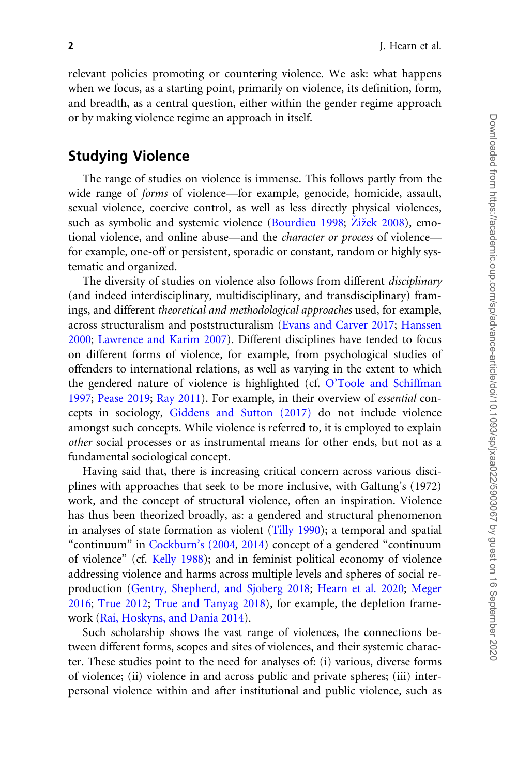relevant policies promoting or countering violence. We ask: what happens when we focus, as a starting point, primarily on violence, its definition, form, and breadth, as a central question, either within the gender regime approach or by making violence regime an approach in itself.

## Studying Violence

The range of studies on violence is immense. This follows partly from the wide range of forms of violence—for example, genocide, homicide, assault, sexual violence, coercive control, as well as less directly physical violences, such as symbolic and systemic violence ([Bourdieu 1998](#page-19-0); Žižek 2008), emotional violence, and online abuse—and the character or process of violence for example, one-off or persistent, sporadic or constant, random or highly systematic and organized.

The diversity of studies on violence also follows from different *disciplinary* (and indeed interdisciplinary, multidisciplinary, and transdisciplinary) framings, and different theoretical and methodological approaches used, for example, across structuralism and poststructuralism ([Evans and Carver 2017](#page-20-0); [Hanssen](#page-20-0) [2000;](#page-20-0) [Lawrence and Karim 2007](#page-20-0)). Different disciplines have tended to focus on different forms of violence, for example, from psychological studies of offenders to international relations, as well as varying in the extent to which the gendered nature of violence is highlighted (cf. [O'Toole and Schiffman](#page-21-0) [1997;](#page-21-0) [Pease 2019](#page-21-0); [Ray 2011\)](#page-21-0). For example, in their overview of essential concepts in sociology, [Giddens and Sutton \(2017\)](#page-20-0) do not include violence amongst such concepts. While violence is referred to, it is employed to explain other social processes or as instrumental means for other ends, but not as a fundamental sociological concept.

Having said that, there is increasing critical concern across various disciplines with approaches that seek to be more inclusive, with Galtung's (1972) work, and the concept of structural violence, often an inspiration. Violence has thus been theorized broadly, as: a gendered and structural phenomenon in analyses of state formation as violent [\(Tilly 1990\)](#page-22-0); a temporal and spatial "continuum" in [Cockburn's \(2004](#page-19-0), [2014\)](#page-19-0) concept of a gendered "continuum of violence" (cf. [Kelly 1988](#page-20-0)); and in feminist political economy of violence addressing violence and harms across multiple levels and spheres of social reproduction ([Gentry, Shepherd, and Sjoberg 2018;](#page-20-0) [Hearn et al. 2020](#page-20-0); [Meger](#page-21-0) [2016;](#page-21-0) [True 2012](#page-22-0); [True and Tanyag 2018\)](#page-22-0), for example, the depletion framework ([Rai, Hoskyns, and Dania 2014\)](#page-21-0).

Such scholarship shows the vast range of violences, the connections between different forms, scopes and sites of violences, and their systemic character. These studies point to the need for analyses of: (i) various, diverse forms of violence; (ii) violence in and across public and private spheres; (iii) interpersonal violence within and after institutional and public violence, such as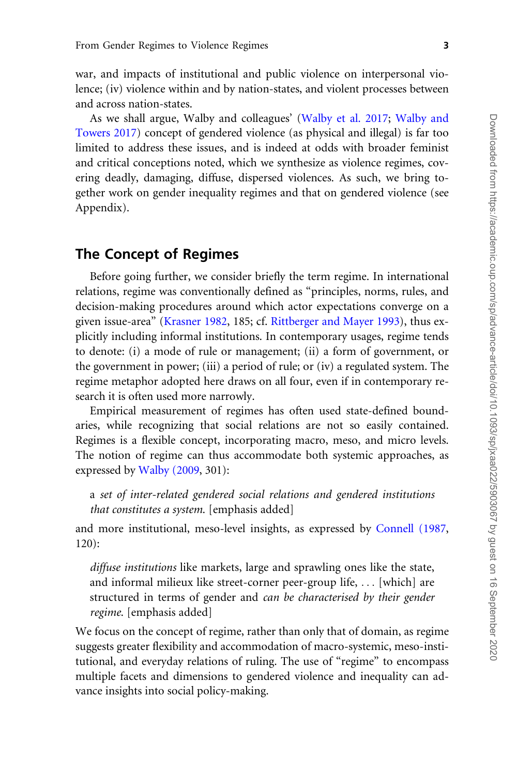war, and impacts of institutional and public violence on interpersonal violence; (iv) violence within and by nation-states, and violent processes between and across nation-states.

As we shall argue, Walby and colleagues' ([Walby et al. 2017](#page-22-0); [Walby and](#page-22-0) [Towers 2017](#page-22-0)) concept of gendered violence (as physical and illegal) is far too limited to address these issues, and is indeed at odds with broader feminist and critical conceptions noted, which we synthesize as violence regimes, covering deadly, damaging, diffuse, dispersed violences. As such, we bring together work on gender inequality regimes and that on gendered violence (see Appendix).

#### The Concept of Regimes

Before going further, we consider briefly the term regime. In international relations, regime was conventionally defined as "principles, norms, rules, and decision-making procedures around which actor expectations converge on a given issue-area" ([Krasner 1982,](#page-20-0) 185; cf. [Rittberger and Mayer 1993\)](#page-21-0), thus explicitly including informal institutions. In contemporary usages, regime tends to denote: (i) a mode of rule or management; (ii) a form of government, or the government in power; (iii) a period of rule; or (iv) a regulated system. The regime metaphor adopted here draws on all four, even if in contemporary research it is often used more narrowly.

Empirical measurement of regimes has often used state-defined boundaries, while recognizing that social relations are not so easily contained. Regimes is a flexible concept, incorporating macro, meso, and micro levels. The notion of regime can thus accommodate both systemic approaches, as expressed by [Walby \(2009,](#page-22-0) 301):

a set of inter-related gendered social relations and gendered institutions that constitutes a system. [emphasis added]

and more institutional, meso-level insights, as expressed by [Connell \(1987,](#page-19-0) 120):

diffuse institutions like markets, large and sprawling ones like the state, and informal milieux like street-corner peer-group life, ... [which] are structured in terms of gender and can be characterised by their gender regime. [emphasis added]

We focus on the concept of regime, rather than only that of domain, as regime suggests greater flexibility and accommodation of macro-systemic, meso-institutional, and everyday relations of ruling. The use of "regime" to encompass multiple facets and dimensions to gendered violence and inequality can advance insights into social policy-making.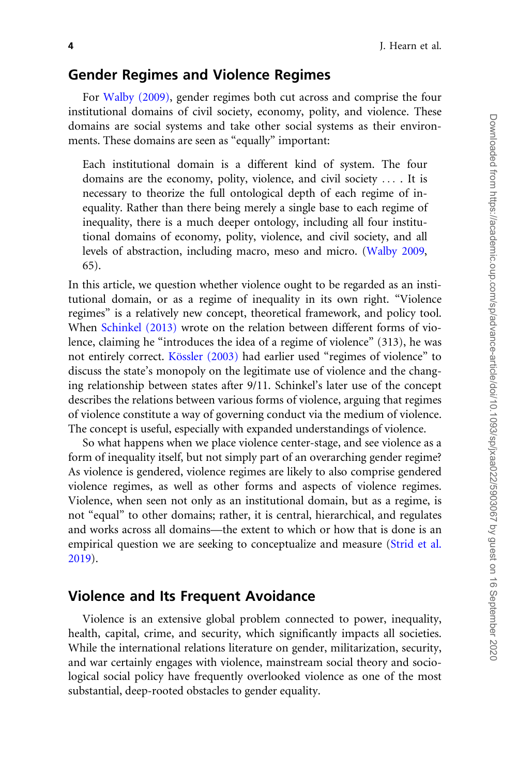#### Gender Regimes and Violence Regimes

For [Walby \(2009\),](#page-22-0) gender regimes both cut across and comprise the four institutional domains of civil society, economy, polity, and violence. These domains are social systems and take other social systems as their environments. These domains are seen as "equally" important:

Each institutional domain is a different kind of system. The four domains are the economy, polity, violence, and civil society ... . It is necessary to theorize the full ontological depth of each regime of inequality. Rather than there being merely a single base to each regime of inequality, there is a much deeper ontology, including all four institutional domains of economy, polity, violence, and civil society, and all levels of abstraction, including macro, meso and micro. [\(Walby 2009,](#page-22-0) 65).

In this article, we question whether violence ought to be regarded as an institutional domain, or as a regime of inequality in its own right. "Violence regimes" is a relatively new concept, theoretical framework, and policy tool. When [Schinkel \(2013\)](#page-21-0) wrote on the relation between different forms of violence, claiming he "introduces the idea of a regime of violence" (313), he was not entirely correct. Kössler (2003) had earlier used "regimes of violence" to discuss the state's monopoly on the legitimate use of violence and the changing relationship between states after 9/11. Schinkel's later use of the concept describes the relations between various forms of violence, arguing that regimes of violence constitute a way of governing conduct via the medium of violence. The concept is useful, especially with expanded understandings of violence.

So what happens when we place violence center-stage, and see violence as a form of inequality itself, but not simply part of an overarching gender regime? As violence is gendered, violence regimes are likely to also comprise gendered violence regimes, as well as other forms and aspects of violence regimes. Violence, when seen not only as an institutional domain, but as a regime, is not "equal" to other domains; rather, it is central, hierarchical, and regulates and works across all domains—the extent to which or how that is done is an empirical question we are seeking to conceptualize and measure [\(Strid et al.](#page-21-0) [2019\)](#page-21-0).

#### Violence and Its Frequent Avoidance

Violence is an extensive global problem connected to power, inequality, health, capital, crime, and security, which significantly impacts all societies. While the international relations literature on gender, militarization, security, and war certainly engages with violence, mainstream social theory and sociological social policy have frequently overlooked violence as one of the most substantial, deep-rooted obstacles to gender equality.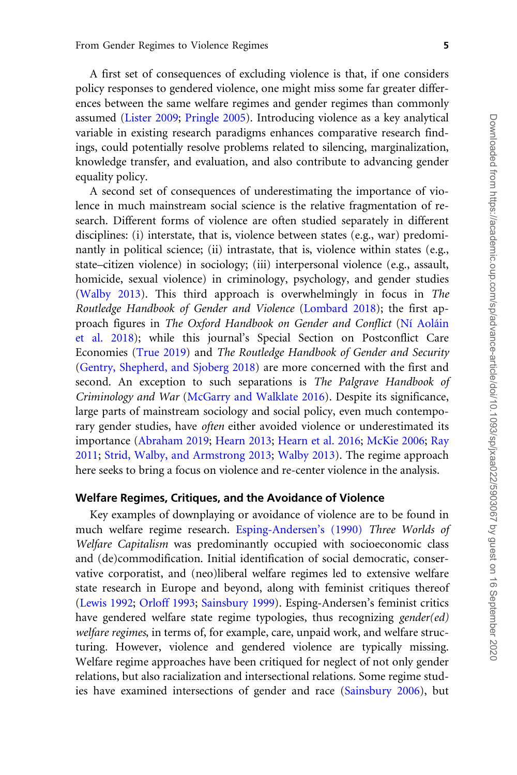A first set of consequences of excluding violence is that, if one considers policy responses to gendered violence, one might miss some far greater differences between the same welfare regimes and gender regimes than commonly assumed [\(Lister 2009;](#page-20-0) [Pringle 2005](#page-21-0)). Introducing violence as a key analytical variable in existing research paradigms enhances comparative research findings, could potentially resolve problems related to silencing, marginalization, knowledge transfer, and evaluation, and also contribute to advancing gender equality policy.

A second set of consequences of underestimating the importance of violence in much mainstream social science is the relative fragmentation of research. Different forms of violence are often studied separately in different disciplines: (i) interstate, that is, violence between states (e.g., war) predominantly in political science; (ii) intrastate, that is, violence within states (e.g., state–citizen violence) in sociology; (iii) interpersonal violence (e.g., assault, homicide, sexual violence) in criminology, psychology, and gender studies ([Walby 2013\)](#page-22-0). This third approach is overwhelmingly in focus in The Routledge Handbook of Gender and Violence ([Lombard 2018](#page-20-0)); the first approach figures in The Oxford Handbook on Gender and Conflict (Ní Aoláin [et al. 2018\)](#page-21-0); while this journal's Special Section on Postconflict Care Economies ([True 2019](#page-22-0)) and The Routledge Handbook of Gender and Security ([Gentry, Shepherd, and Sjoberg 2018](#page-20-0)) are more concerned with the first and second. An exception to such separations is The Palgrave Handbook of Criminology and War [\(McGarry and Walklate 2016](#page-21-0)). Despite its significance, large parts of mainstream sociology and social policy, even much contemporary gender studies, have *often* either avoided violence or underestimated its importance ([Abraham 2019;](#page-19-0) [Hearn 2013;](#page-20-0) [Hearn et al. 2016](#page-20-0); [McKie 2006;](#page-21-0) [Ray](#page-21-0) [2011;](#page-21-0) [Strid, Walby, and Armstrong 2013;](#page-22-0) [Walby 2013\)](#page-22-0). The regime approach here seeks to bring a focus on violence and re-center violence in the analysis.

#### Welfare Regimes, Critiques, and the Avoidance of Violence

Key examples of downplaying or avoidance of violence are to be found in much welfare regime research. [Esping-Andersen's \(1990\)](#page-20-0) Three Worlds of Welfare Capitalism was predominantly occupied with socioeconomic class and (de)commodification. Initial identification of social democratic, conservative corporatist, and (neo)liberal welfare regimes led to extensive welfare state research in Europe and beyond, along with feminist critiques thereof ([Lewis 1992](#page-20-0); [Orloff 1993;](#page-21-0) [Sainsbury 1999](#page-21-0)). Esping-Andersen's feminist critics have gendered welfare state regime typologies, thus recognizing *gender(ed)* welfare regimes, in terms of, for example, care, unpaid work, and welfare structuring. However, violence and gendered violence are typically missing. Welfare regime approaches have been critiqued for neglect of not only gender relations, but also racialization and intersectional relations. Some regime studies have examined intersections of gender and race [\(Sainsbury 2006\)](#page-21-0), but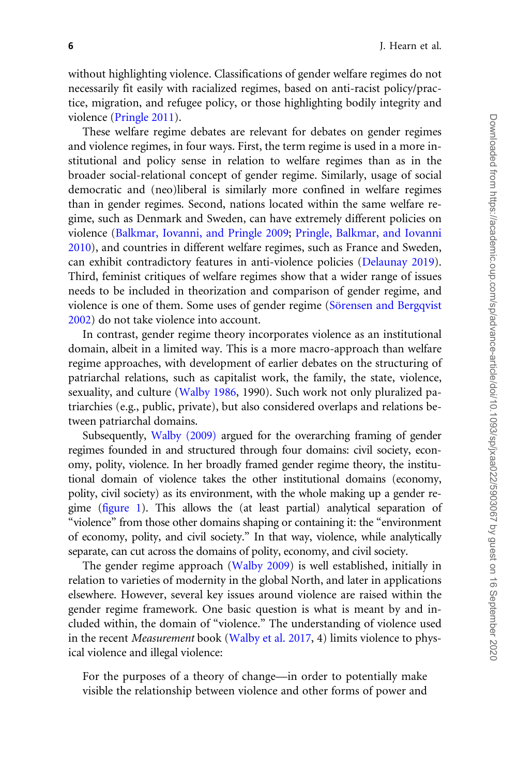without highlighting violence. Classifications of gender welfare regimes do not necessarily fit easily with racialized regimes, based on anti-racist policy/practice, migration, and refugee policy, or those highlighting bodily integrity and violence ([Pringle 2011\)](#page-21-0).

These welfare regime debates are relevant for debates on gender regimes and violence regimes, in four ways. First, the term regime is used in a more institutional and policy sense in relation to welfare regimes than as in the broader social-relational concept of gender regime. Similarly, usage of social democratic and (neo)liberal is similarly more confined in welfare regimes than in gender regimes. Second, nations located within the same welfare regime, such as Denmark and Sweden, can have extremely different policies on violence ([Balkmar, Iovanni, and Pringle 2009](#page-19-0); [Pringle, Balkmar, and Iovanni](#page-21-0) [2010\)](#page-21-0), and countries in different welfare regimes, such as France and Sweden, can exhibit contradictory features in anti-violence policies ([Delaunay 2019\)](#page-19-0). Third, feminist critiques of welfare regimes show that a wider range of issues needs to be included in theorization and comparison of gender regime, and violence is one of them. Some uses of gender regime (Sörensen and Bergqvist [2002\)](#page-22-0) do not take violence into account.

In contrast, gender regime theory incorporates violence as an institutional domain, albeit in a limited way. This is a more macro-approach than welfare regime approaches, with development of earlier debates on the structuring of patriarchal relations, such as capitalist work, the family, the state, violence, sexuality, and culture ([Walby 1986](#page-22-0), 1990). Such work not only pluralized patriarchies (e.g., public, private), but also considered overlaps and relations between patriarchal domains.

Subsequently, [Walby \(2009\)](#page-22-0) argued for the overarching framing of gender regimes founded in and structured through four domains: civil society, economy, polity, violence. In her broadly framed gender regime theory, the institutional domain of violence takes the other institutional domains (economy, polity, civil society) as its environment, with the whole making up a gender regime [\(figure 1](#page-6-0)). This allows the (at least partial) analytical separation of "violence" from those other domains shaping or containing it: the "environment of economy, polity, and civil society." In that way, violence, while analytically separate, can cut across the domains of polity, economy, and civil society.

The gender regime approach ([Walby 2009\)](#page-22-0) is well established, initially in relation to varieties of modernity in the global North, and later in applications elsewhere. However, several key issues around violence are raised within the gender regime framework. One basic question is what is meant by and included within, the domain of "violence." The understanding of violence used in the recent Measurement book [\(Walby et al. 2017,](#page-22-0) 4) limits violence to physical violence and illegal violence:

For the purposes of a theory of change—in order to potentially make visible the relationship between violence and other forms of power and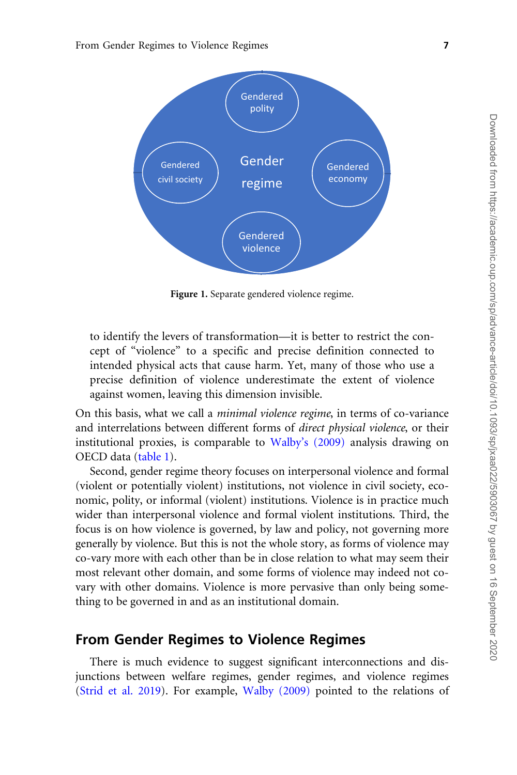<span id="page-6-0"></span>

Figure 1. Separate gendered violence regime.

to identify the levers of transformation—it is better to restrict the concept of "violence" to a specific and precise definition connected to intended physical acts that cause harm. Yet, many of those who use a precise definition of violence underestimate the extent of violence against women, leaving this dimension invisible.

On this basis, what we call a minimal violence regime, in terms of co-variance and interrelations between different forms of direct physical violence, or their institutional proxies, is comparable to [Walby's \(2009\)](#page-22-0) analysis drawing on OECD data [\(table 1\)](#page-7-0).

Second, gender regime theory focuses on interpersonal violence and formal (violent or potentially violent) institutions, not violence in civil society, economic, polity, or informal (violent) institutions. Violence is in practice much wider than interpersonal violence and formal violent institutions. Third, the focus is on how violence is governed, by law and policy, not governing more generally by violence. But this is not the whole story, as forms of violence may co-vary more with each other than be in close relation to what may seem their most relevant other domain, and some forms of violence may indeed not covary with other domains. Violence is more pervasive than only being something to be governed in and as an institutional domain.

#### From Gender Regimes to Violence Regimes

There is much evidence to suggest significant interconnections and disjunctions between welfare regimes, gender regimes, and violence regimes ([Strid et al. 2019](#page-21-0)). For example, [Walby \(2009\)](#page-22-0) pointed to the relations of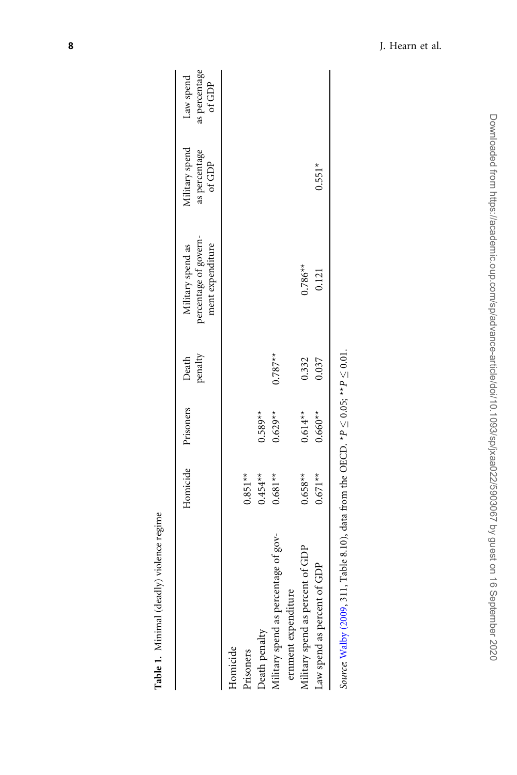<span id="page-7-0"></span>

|                                                                                               | Homicide   | Prisoners | penalty<br>Death | percentage of govern-<br>ment expenditure<br>Military spend as | Military spend<br>as percentage<br>of GDP | as percentage<br>Law spend<br>$\overline{of}$ GDP |
|-----------------------------------------------------------------------------------------------|------------|-----------|------------------|----------------------------------------------------------------|-------------------------------------------|---------------------------------------------------|
| Homicide                                                                                      |            |           |                  |                                                                |                                           |                                                   |
| Prisoners                                                                                     | $0.851**$  |           |                  |                                                                |                                           |                                                   |
| Death penalty                                                                                 | $0.454***$ | $0.589**$ |                  |                                                                |                                           |                                                   |
| Military spend as percentage of gov-                                                          | $0.681**$  | $0.629**$ | $0.787**$        |                                                                |                                           |                                                   |
| emment expenditure                                                                            |            |           |                  |                                                                |                                           |                                                   |
| Military spend as percent of GDP                                                              | $0.658**$  | $0.614**$ | 0.332            | $0.786**$                                                      |                                           |                                                   |
| Law spend as percent of GDP                                                                   | $0.671**$  | $0.660**$ | 0.037            | 0.121                                                          | $0.551*$                                  |                                                   |
| Source: Walby (2009, 311, Table 8.10), data from the OECD. * $P \le 0.05$ ; ** $P \le 0.01$ . |            |           |                  |                                                                |                                           |                                                   |

Table 1. Minimal (deadly) violence regime Table 1. Minimal (deadly) violence regime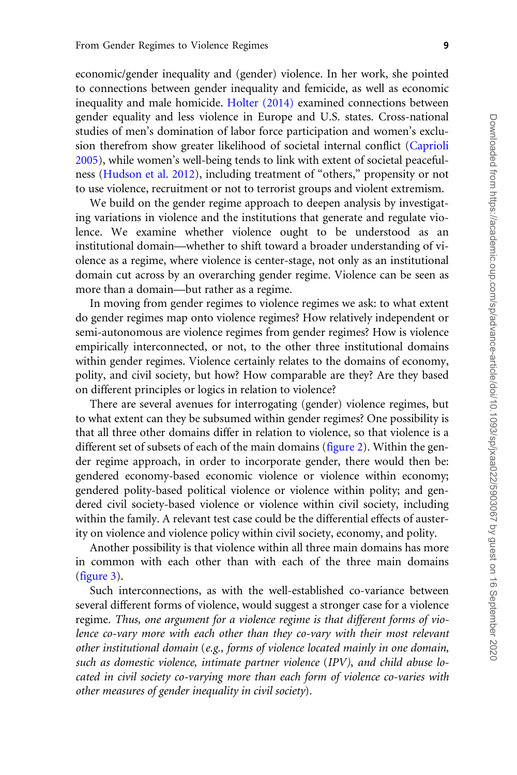economic/gender inequality and (gender) violence. In her work, she pointed to connections between gender inequality and femicide, as well as economic inequality and male homicide. [Holter \(2014\)](#page-20-0) examined connections between gender equality and less violence in Europe and U.S. states. Cross-national studies of men's domination of labor force participation and women's exclusion therefrom show greater likelihood of societal internal conflict [\(Caprioli](#page-19-0) [2005\)](#page-19-0), while women's well-being tends to link with extent of societal peacefulness [\(Hudson et al. 2012\)](#page-20-0), including treatment of "others," propensity or not to use violence, recruitment or not to terrorist groups and violent extremism.

We build on the gender regime approach to deepen analysis by investigating variations in violence and the institutions that generate and regulate violence. We examine whether violence ought to be understood as an institutional domain—whether to shift toward a broader understanding of violence as a regime, where violence is center-stage, not only as an institutional domain cut across by an overarching gender regime. Violence can be seen as more than a domain—but rather as a regime.

In moving from gender regimes to violence regimes we ask: to what extent do gender regimes map onto violence regimes? How relatively independent or semi-autonomous are violence regimes from gender regimes? How is violence empirically interconnected, or not, to the other three institutional domains within gender regimes. Violence certainly relates to the domains of economy, polity, and civil society, but how? How comparable are they? Are they based on different principles or logics in relation to violence?

There are several avenues for interrogating (gender) violence regimes, but to what extent can they be subsumed within gender regimes? One possibility is that all three other domains differ in relation to violence, so that violence is a different set of subsets of each of the main domains ([figure 2](#page-9-0)). Within the gender regime approach, in order to incorporate gender, there would then be: gendered economy-based economic violence or violence within economy; gendered polity-based political violence or violence within polity; and gendered civil society-based violence or violence within civil society, including within the family. A relevant test case could be the differential effects of austerity on violence and violence policy within civil society, economy, and polity.

Another possibility is that violence within all three main domains has more in common with each other than with each of the three main domains ([figure 3](#page-9-0)).

Such interconnections, as with the well-established co-variance between several different forms of violence, would suggest a stronger case for a violence regime. Thus, one argument for a violence regime is that different forms of violence co-vary more with each other than they co-vary with their most relevant other institutional domain (e.g., forms of violence located mainly in one domain, such as domestic violence, intimate partner violence (IPV), and child abuse located in civil society co-varying more than each form of violence co-varies with other measures of gender inequality in civil society).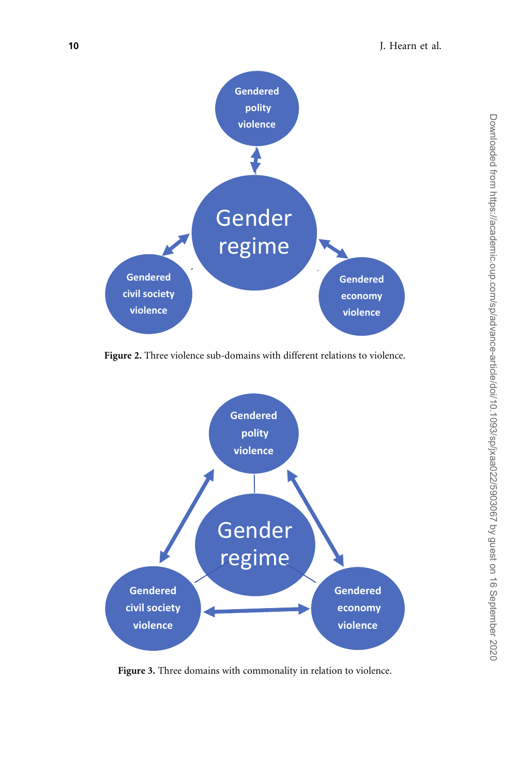<span id="page-9-0"></span>

Figure 2. Three violence sub-domains with different relations to violence.



Figure 3. Three domains with commonality in relation to violence.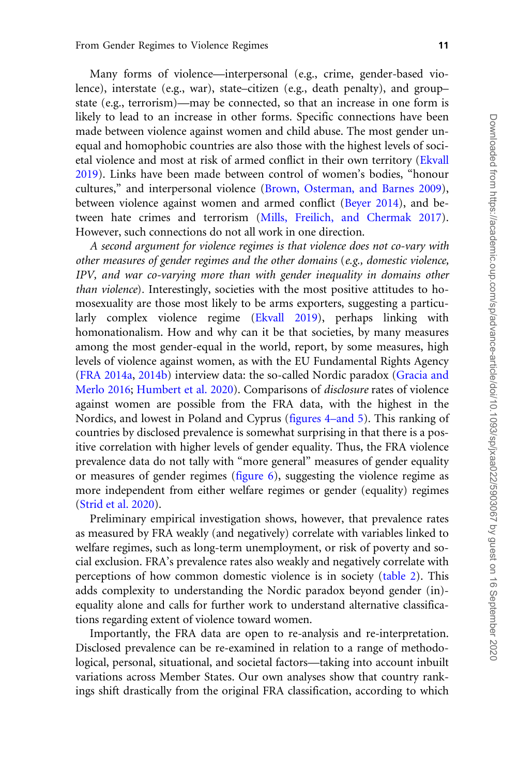Many forms of violence—interpersonal (e.g., crime, gender-based violence), interstate (e.g., war), state–citizen (e.g., death penalty), and group– state (e.g., terrorism)—may be connected, so that an increase in one form is likely to lead to an increase in other forms. Specific connections have been made between violence against women and child abuse. The most gender unequal and homophobic countries are also those with the highest levels of societal violence and most at risk of armed conflict in their own territory ([Ekvall](#page-19-0) [2019\)](#page-19-0). Links have been made between control of women's bodies, "honour cultures," and interpersonal violence [\(Brown, Osterman, and Barnes 2009\)](#page-19-0), between violence against women and armed conflict ([Beyer 2014](#page-19-0)), and between hate crimes and terrorism ([Mills, Freilich, and Chermak 2017\)](#page-21-0). However, such connections do not all work in one direction.

A second argument for violence regimes is that violence does not co-vary with other measures of gender regimes and the other domains (e.g., domestic violence, IPV, and war co-varying more than with gender inequality in domains other than violence). Interestingly, societies with the most positive attitudes to homosexuality are those most likely to be arms exporters, suggesting a particularly complex violence regime [\(Ekvall 2019](#page-19-0)), perhaps linking with homonationalism. How and why can it be that societies, by many measures among the most gender-equal in the world, report, by some measures, high levels of violence against women, as with the EU Fundamental Rights Agency ([FRA 2014a](#page-20-0), [2014b\)](#page-20-0) interview data: the so-called Nordic paradox [\(Gracia and](#page-20-0) [Merlo 2016](#page-20-0); [Humbert et al. 2020\)](#page-20-0). Comparisons of disclosure rates of violence against women are possible from the FRA data, with the highest in the Nordics, and lowest in Poland and Cyprus (figures 4–and 5). This ranking of countries by disclosed prevalence is somewhat surprising in that there is a positive correlation with higher levels of gender equality. Thus, the FRA violence prevalence data do not tally with "more general" measures of gender equality or measures of gender regimes ([figure 6\)](#page-12-0), suggesting the violence regime as more independent from either welfare regimes or gender (equality) regimes ([Strid et al. 2020\)](#page-21-0).

Preliminary empirical investigation shows, however, that prevalence rates as measured by FRA weakly (and negatively) correlate with variables linked to welfare regimes, such as long-term unemployment, or risk of poverty and social exclusion. FRA's prevalence rates also weakly and negatively correlate with perceptions of how common domestic violence is in society ([table 2\)](#page-13-0). This adds complexity to understanding the Nordic paradox beyond gender (in) equality alone and calls for further work to understand alternative classifications regarding extent of violence toward women.

Importantly, the FRA data are open to re-analysis and re-interpretation. Disclosed prevalence can be re-examined in relation to a range of methodological, personal, situational, and societal factors—taking into account inbuilt variations across Member States. Our own analyses show that country rankings shift drastically from the original FRA classification, according to which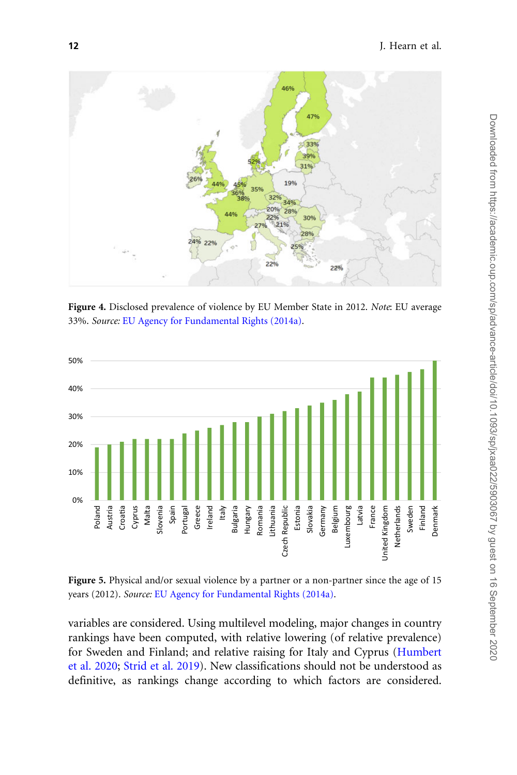

Figure 4. Disclosed prevalence of violence by EU Member State in 2012. Note: EU average 33%. Source: [EU Agency for Fundamental Rights \(2014a\)](#page-20-0).



Figure 5. Physical and/or sexual violence by a partner or a non-partner since the age of 15 years (2012). Source: [EU Agency for Fundamental Rights \(2014a\).](#page-20-0)

variables are considered. Using multilevel modeling, major changes in country rankings have been computed, with relative lowering (of relative prevalence) for Sweden and Finland; and relative raising for Italy and Cyprus ([Humbert](#page-20-0) [et al. 2020](#page-20-0); [Strid et al. 2019\)](#page-21-0). New classifications should not be understood as definitive, as rankings change according to which factors are considered.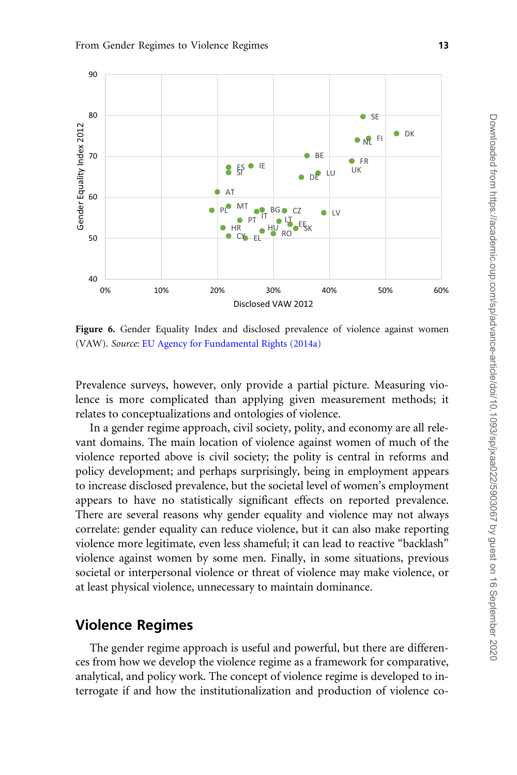<span id="page-12-0"></span>

Figure 6. Gender Equality Index and disclosed prevalence of violence against women (VAW). Source: [EU Agency for Fundamental Rights \(2014a\)](#page-20-0)

Prevalence surveys, however, only provide a partial picture. Measuring violence is more complicated than applying given measurement methods; it relates to conceptualizations and ontologies of violence.

In a gender regime approach, civil society, polity, and economy are all relevant domains. The main location of violence against women of much of the violence reported above is civil society; the polity is central in reforms and policy development; and perhaps surprisingly, being in employment appears to increase disclosed prevalence, but the societal level of women's employment appears to have no statistically significant effects on reported prevalence. There are several reasons why gender equality and violence may not always correlate: gender equality can reduce violence, but it can also make reporting violence more legitimate, even less shameful; it can lead to reactive "backlash" violence against women by some men. Finally, in some situations, previous societal or interpersonal violence or threat of violence may make violence, or at least physical violence, unnecessary to maintain dominance.

### Violence Regimes

The gender regime approach is useful and powerful, but there are differences from how we develop the violence regime as a framework for comparative, analytical, and policy work. The concept of violence regime is developed to interrogate if and how the institutionalization and production of violence co-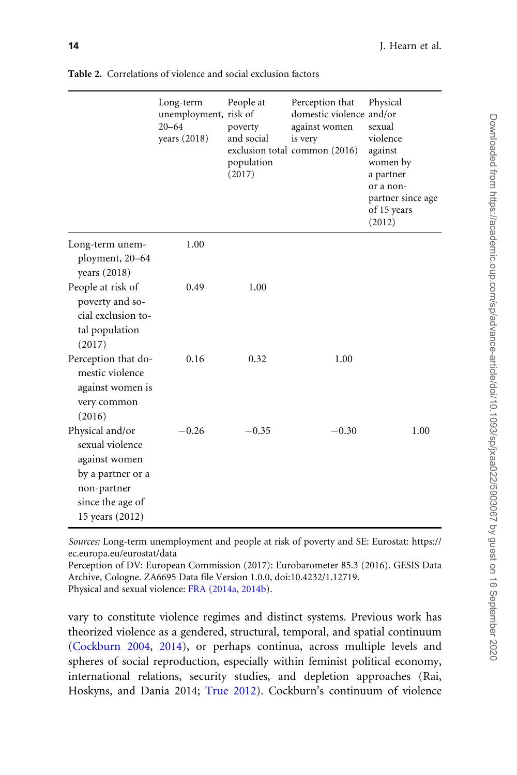|                                                                                                                                | Long-term<br>unemployment, risk of<br>$20 - 64$<br>years $(2018)$ | People at<br>poverty<br>and social<br>population<br>(2017) | Perception that<br>domestic violence and/or<br>against women<br>is very<br>exclusion total common (2016) | Physical<br>sexual<br>violence<br>against<br>women by<br>a partner<br>or a non-<br>partner since age<br>of 15 years<br>(2012) |
|--------------------------------------------------------------------------------------------------------------------------------|-------------------------------------------------------------------|------------------------------------------------------------|----------------------------------------------------------------------------------------------------------|-------------------------------------------------------------------------------------------------------------------------------|
| Long-term unem-<br>ployment, 20-64<br>years $(2018)$                                                                           | 1.00                                                              |                                                            |                                                                                                          |                                                                                                                               |
| People at risk of<br>poverty and so-<br>cial exclusion to-<br>tal population<br>(2017)                                         | 0.49                                                              | 1.00                                                       |                                                                                                          |                                                                                                                               |
| Perception that do-<br>mestic violence<br>against women is<br>very common<br>(2016)                                            | 0.16                                                              | 0.32                                                       | 1.00                                                                                                     |                                                                                                                               |
| Physical and/or<br>sexual violence<br>against women<br>by a partner or a<br>non-partner<br>since the age of<br>15 years (2012) | $-0.26$                                                           | $-0.35$                                                    | $-0.30$                                                                                                  | 1.00                                                                                                                          |

<span id="page-13-0"></span>Table 2. Correlations of violence and social exclusion factors

Sources: Long-term unemployment and people at risk of poverty and SE: Eurostat: [https://](https://ec.europa.eu/eurostat/data) [ec.europa.eu/eurostat/data](https://ec.europa.eu/eurostat/data)

Perception of DV: European Commission (2017): Eurobarometer 85.3 (2016). GESIS Data Archive, Cologne. ZA6695 Data file Version 1.0.0, doi:10.4232/1.12719. Physical and sexual violence: [FRA \(2014a,](#page-20-0) [2014b](#page-20-0)).

vary to constitute violence regimes and distinct systems. Previous work has theorized violence as a gendered, structural, temporal, and spatial continuum ([Cockburn 2004](#page-19-0), [2014](#page-19-0)), or perhaps continua, across multiple levels and spheres of social reproduction, especially within feminist political economy, international relations, security studies, and depletion approaches (Rai, Hoskyns, and Dania 2014; [True 2012](#page-22-0)). Cockburn's continuum of violence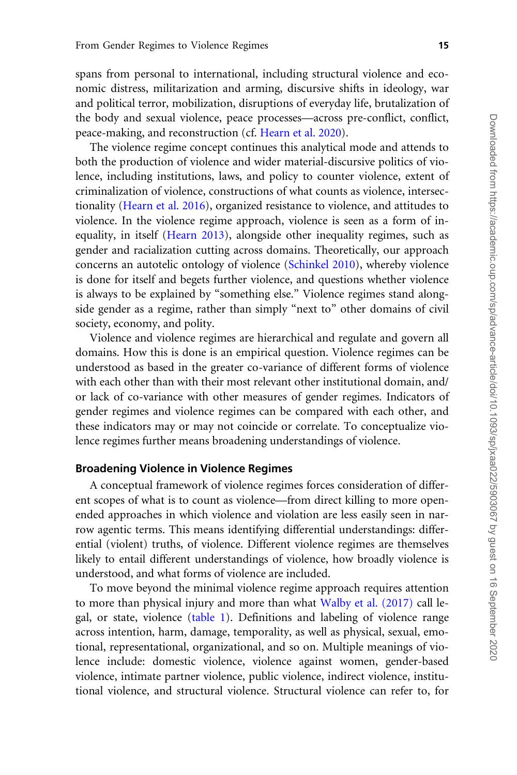spans from personal to international, including structural violence and economic distress, militarization and arming, discursive shifts in ideology, war and political terror, mobilization, disruptions of everyday life, brutalization of the body and sexual violence, peace processes—across pre-conflict, conflict, peace-making, and reconstruction (cf. [Hearn et al. 2020](#page-20-0)).

The violence regime concept continues this analytical mode and attends to both the production of violence and wider material-discursive politics of violence, including institutions, laws, and policy to counter violence, extent of criminalization of violence, constructions of what counts as violence, intersectionality ([Hearn et al. 2016](#page-20-0)), organized resistance to violence, and attitudes to violence. In the violence regime approach, violence is seen as a form of inequality, in itself [\(Hearn 2013](#page-20-0)), alongside other inequality regimes, such as gender and racialization cutting across domains. Theoretically, our approach concerns an autotelic ontology of violence [\(Schinkel 2010\)](#page-21-0), whereby violence is done for itself and begets further violence, and questions whether violence is always to be explained by "something else." Violence regimes stand alongside gender as a regime, rather than simply "next to" other domains of civil society, economy, and polity.

Violence and violence regimes are hierarchical and regulate and govern all domains. How this is done is an empirical question. Violence regimes can be understood as based in the greater co-variance of different forms of violence with each other than with their most relevant other institutional domain, and/ or lack of co-variance with other measures of gender regimes. Indicators of gender regimes and violence regimes can be compared with each other, and these indicators may or may not coincide or correlate. To conceptualize violence regimes further means broadening understandings of violence.

#### Broadening Violence in Violence Regimes

A conceptual framework of violence regimes forces consideration of different scopes of what is to count as violence—from direct killing to more openended approaches in which violence and violation are less easily seen in narrow agentic terms. This means identifying differential understandings: differential (violent) truths, of violence. Different violence regimes are themselves likely to entail different understandings of violence, how broadly violence is understood, and what forms of violence are included.

To move beyond the minimal violence regime approach requires attention to more than physical injury and more than what [Walby et al. \(2017\)](#page-22-0) call le-gal, or state, violence [\(table 1\)](#page-7-0). Definitions and labeling of violence range across intention, harm, damage, temporality, as well as physical, sexual, emotional, representational, organizational, and so on. Multiple meanings of violence include: domestic violence, violence against women, gender-based violence, intimate partner violence, public violence, indirect violence, institutional violence, and structural violence. Structural violence can refer to, for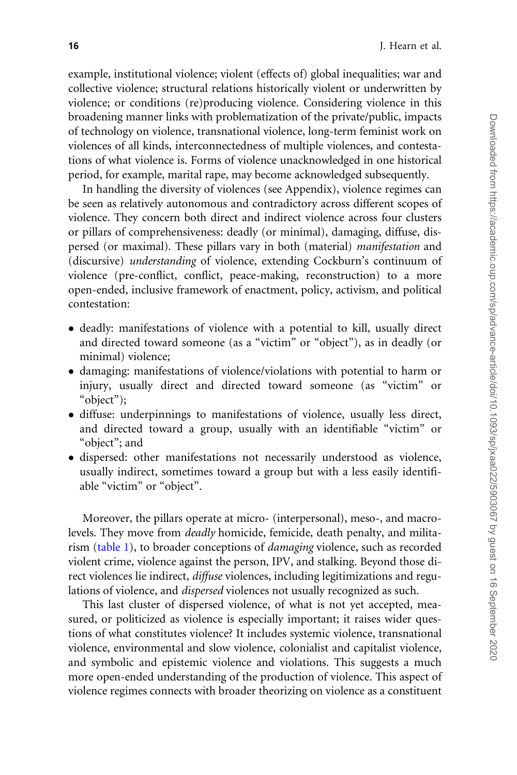example, institutional violence; violent (effects of) global inequalities; war and collective violence; structural relations historically violent or underwritten by violence; or conditions (re)producing violence. Considering violence in this broadening manner links with problematization of the private/public, impacts of technology on violence, transnational violence, long-term feminist work on violences of all kinds, interconnectedness of multiple violences, and contestations of what violence is. Forms of violence unacknowledged in one historical period, for example, marital rape, may become acknowledged subsequently.

In handling the diversity of violences (see Appendix), violence regimes can be seen as relatively autonomous and contradictory across different scopes of violence. They concern both direct and indirect violence across four clusters or pillars of comprehensiveness: deadly (or minimal), damaging, diffuse, dispersed (or maximal). These pillars vary in both (material) manifestation and (discursive) understanding of violence, extending Cockburn's continuum of violence (pre-conflict, conflict, peace-making, reconstruction) to a more open-ended, inclusive framework of enactment, policy, activism, and political contestation:

- deadly: manifestations of violence with a potential to kill, usually direct and directed toward someone (as a "victim" or "object"), as in deadly (or minimal) violence;
- damaging: manifestations of violence/violations with potential to harm or injury, usually direct and directed toward someone (as "victim" or "object");
- diffuse: underpinnings to manifestations of violence, usually less direct, and directed toward a group, usually with an identifiable "victim" or "object"; and
- dispersed: other manifestations not necessarily understood as violence, usually indirect, sometimes toward a group but with a less easily identifiable "victim" or "object".

Moreover, the pillars operate at micro- (interpersonal), meso-, and macrolevels. They move from deadly homicide, femicide, death penalty, and militarism [\(table 1\)](#page-7-0), to broader conceptions of damaging violence, such as recorded violent crime, violence against the person, IPV, and stalking. Beyond those direct violences lie indirect, diffuse violences, including legitimizations and regulations of violence, and dispersed violences not usually recognized as such.

This last cluster of dispersed violence, of what is not yet accepted, measured, or politicized as violence is especially important; it raises wider questions of what constitutes violence? It includes systemic violence, transnational violence, environmental and slow violence, colonialist and capitalist violence, and symbolic and epistemic violence and violations. This suggests a much more open-ended understanding of the production of violence. This aspect of violence regimes connects with broader theorizing on violence as a constituent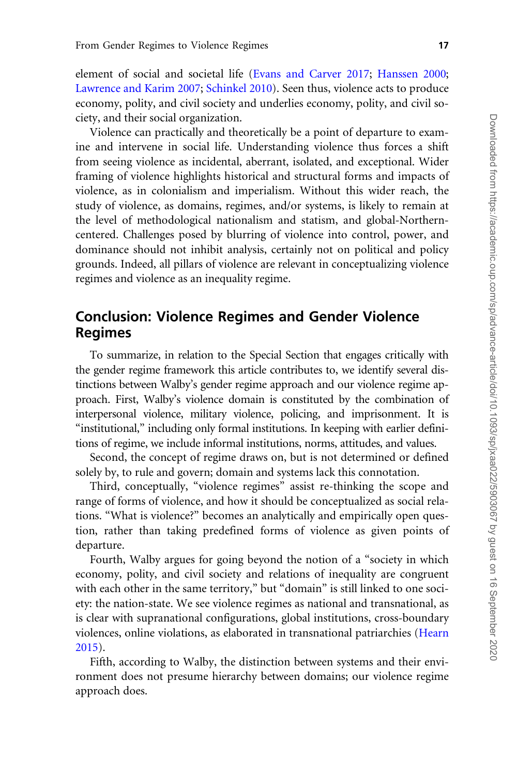element of social and societal life [\(Evans and Carver 2017;](#page-20-0) [Hanssen 2000;](#page-20-0) [Lawrence and Karim 2007](#page-20-0); [Schinkel 2010](#page-21-0)). Seen thus, violence acts to produce economy, polity, and civil society and underlies economy, polity, and civil society, and their social organization.

Violence can practically and theoretically be a point of departure to examine and intervene in social life. Understanding violence thus forces a shift from seeing violence as incidental, aberrant, isolated, and exceptional. Wider framing of violence highlights historical and structural forms and impacts of violence, as in colonialism and imperialism. Without this wider reach, the study of violence, as domains, regimes, and/or systems, is likely to remain at the level of methodological nationalism and statism, and global-Northerncentered. Challenges posed by blurring of violence into control, power, and dominance should not inhibit analysis, certainly not on political and policy grounds. Indeed, all pillars of violence are relevant in conceptualizing violence regimes and violence as an inequality regime.

#### Conclusion: Violence Regimes and Gender Violence Regimes

To summarize, in relation to the Special Section that engages critically with the gender regime framework this article contributes to, we identify several distinctions between Walby's gender regime approach and our violence regime approach. First, Walby's violence domain is constituted by the combination of interpersonal violence, military violence, policing, and imprisonment. It is "institutional," including only formal institutions. In keeping with earlier definitions of regime, we include informal institutions, norms, attitudes, and values.

Second, the concept of regime draws on, but is not determined or defined solely by, to rule and govern; domain and systems lack this connotation.

Third, conceptually, "violence regimes" assist re-thinking the scope and range of forms of violence, and how it should be conceptualized as social relations. "What is violence?" becomes an analytically and empirically open question, rather than taking predefined forms of violence as given points of departure.

Fourth, Walby argues for going beyond the notion of a "society in which economy, polity, and civil society and relations of inequality are congruent with each other in the same territory," but "domain" is still linked to one society: the nation-state. We see violence regimes as national and transnational, as is clear with supranational configurations, global institutions, cross-boundary violences, online violations, as elaborated in transnational patriarchies ([Hearn](#page-20-0) [2015\)](#page-20-0).

Fifth, according to Walby, the distinction between systems and their environment does not presume hierarchy between domains; our violence regime approach does.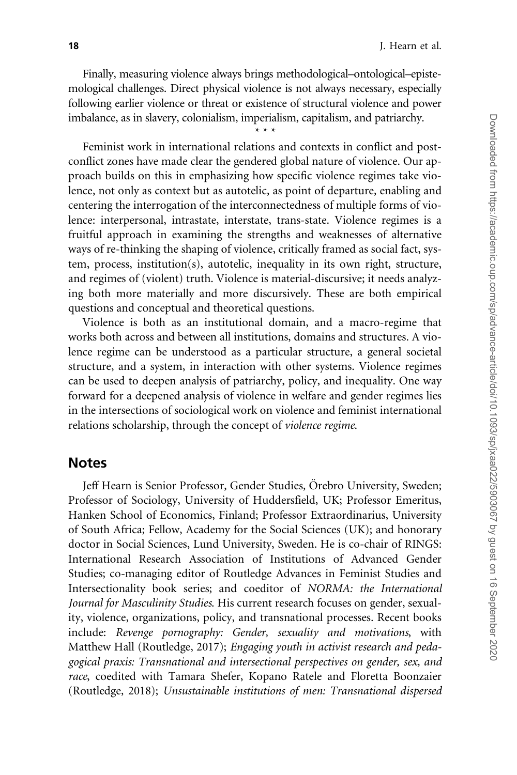Finally, measuring violence always brings methodological–ontological–epistemological challenges. Direct physical violence is not always necessary, especially following earlier violence or threat or existence of structural violence and power imbalance, as in slavery, colonialism, imperialism, capitalism, and patriarchy.

\*\*\*

Feminist work in international relations and contexts in conflict and postconflict zones have made clear the gendered global nature of violence. Our approach builds on this in emphasizing how specific violence regimes take violence, not only as context but as autotelic, as point of departure, enabling and centering the interrogation of the interconnectedness of multiple forms of violence: interpersonal, intrastate, interstate, trans-state. Violence regimes is a fruitful approach in examining the strengths and weaknesses of alternative ways of re-thinking the shaping of violence, critically framed as social fact, system, process, institution(s), autotelic, inequality in its own right, structure, and regimes of (violent) truth. Violence is material-discursive; it needs analyzing both more materially and more discursively. These are both empirical questions and conceptual and theoretical questions.

Violence is both as an institutional domain, and a macro-regime that works both across and between all institutions, domains and structures. A violence regime can be understood as a particular structure, a general societal structure, and a system, in interaction with other systems. Violence regimes can be used to deepen analysis of patriarchy, policy, and inequality. One way forward for a deepened analysis of violence in welfare and gender regimes lies in the intersections of sociological work on violence and feminist international relations scholarship, through the concept of violence regime.

#### Notes

Jeff Hearn is Senior Professor, Gender Studies, Orebro University, Sweden; Professor of Sociology, University of Huddersfield, UK; Professor Emeritus, Hanken School of Economics, Finland; Professor Extraordinarius, University of South Africa; Fellow, Academy for the Social Sciences (UK); and honorary doctor in Social Sciences, Lund University, Sweden. He is co-chair of RINGS: International Research Association of Institutions of Advanced Gender Studies; co-managing editor of Routledge Advances in Feminist Studies and Intersectionality book series; and coeditor of NORMA: the International Journal for Masculinity Studies. His current research focuses on gender, sexuality, violence, organizations, policy, and transnational processes. Recent books include: Revenge pornography: Gender, sexuality and motivations, with Matthew Hall (Routledge, 2017); Engaging youth in activist research and pedagogical praxis: Transnational and intersectional perspectives on gender, sex, and race, coedited with Tamara Shefer, Kopano Ratele and Floretta Boonzaier (Routledge, 2018); Unsustainable institutions of men: Transnational dispersed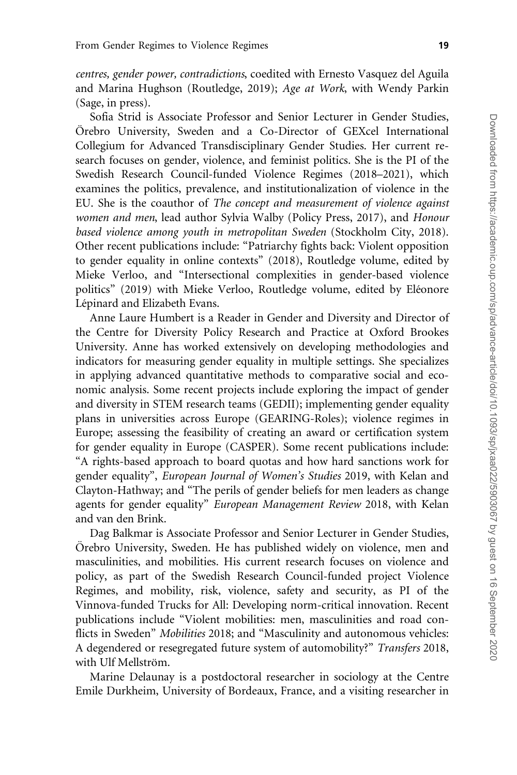centres, gender power, contradictions, coedited with Ernesto Vasquez del Aguila and Marina Hughson (Routledge, 2019); Age at Work, with Wendy Parkin (Sage, in press).

Sofia Strid is Associate Professor and Senior Lecturer in Gender Studies, Örebro University, Sweden and a Co-Director of GEXcel International Collegium for Advanced Transdisciplinary Gender Studies. Her current research focuses on gender, violence, and feminist politics. She is the PI of the Swedish Research Council-funded Violence Regimes (2018–2021), which examines the politics, prevalence, and institutionalization of violence in the EU. She is the coauthor of The concept and measurement of violence against women and men, lead author Sylvia Walby (Policy Press, 2017), and Honour based violence among youth in metropolitan Sweden (Stockholm City, 2018). Other recent publications include: "Patriarchy fights back: Violent opposition to gender equality in online contexts" (2018), Routledge volume, edited by Mieke Verloo, and "Intersectional complexities in gender-based violence politics" (2019) with Mieke Verloo, Routledge volume, edited by Eléonore Lépinard and Elizabeth Evans.

Anne Laure Humbert is a Reader in Gender and Diversity and Director of the Centre for Diversity Policy Research and Practice at Oxford Brookes University. Anne has worked extensively on developing methodologies and indicators for measuring gender equality in multiple settings. She specializes in applying advanced quantitative methods to comparative social and economic analysis. Some recent projects include exploring the impact of gender and diversity in STEM research teams (GEDII); implementing gender equality plans in universities across Europe (GEARING-Roles); violence regimes in Europe; assessing the feasibility of creating an award or certification system for gender equality in Europe (CASPER). Some recent publications include: "A rights-based approach to board quotas and how hard sanctions work for gender equality", European Journal of Women's Studies 2019, with Kelan and Clayton-Hathway; and "The perils of gender beliefs for men leaders as change agents for gender equality" European Management Review 2018, with Kelan and van den Brink.

Dag Balkmar is Associate Professor and Senior Lecturer in Gender Studies, Örebro University, Sweden. He has published widely on violence, men and masculinities, and mobilities. His current research focuses on violence and policy, as part of the Swedish Research Council-funded project Violence Regimes, and mobility, risk, violence, safety and security, as PI of the Vinnova-funded Trucks for All: Developing norm-critical innovation. Recent publications include "Violent mobilities: men, masculinities and road conflicts in Sweden" Mobilities 2018; and "Masculinity and autonomous vehicles: A degendered or resegregated future system of automobility?" Transfers 2018, with Ulf Mellström.

Marine Delaunay is a postdoctoral researcher in sociology at the Centre Emile Durkheim, University of Bordeaux, France, and a visiting researcher in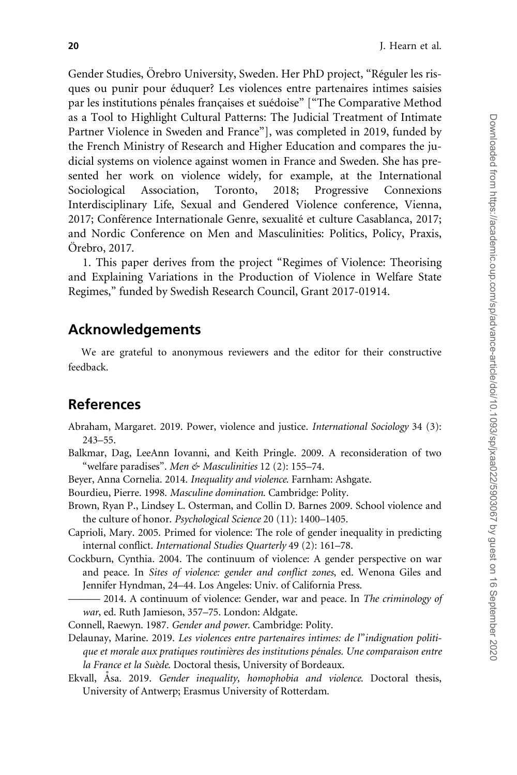<span id="page-19-0"></span>Gender Studies, Örebro University, Sweden. Her PhD project, "Réguler les risques ou punir pour éduquer? Les violences entre partenaires intimes saisies par les institutions pénales françaises et suédoise" ["The Comparative Method as a Tool to Highlight Cultural Patterns: The Judicial Treatment of Intimate Partner Violence in Sweden and France"], was completed in 2019, funded by the French Ministry of Research and Higher Education and compares the judicial systems on violence against women in France and Sweden. She has presented her work on violence widely, for example, at the International Sociological Association, Toronto, 2018; Progressive Connexions Interdisciplinary Life, Sexual and Gendered Violence conference, Vienna, 2017; Conférence Internationale Genre, sexualité et culture Casablanca, 2017; and Nordic Conference on Men and Masculinities: Politics, Policy, Praxis, Örebro, 2017.

1. This paper derives from the project "Regimes of Violence: Theorising and Explaining Variations in the Production of Violence in Welfare State Regimes," funded by Swedish Research Council, Grant 2017-01914.

#### Acknowledgements

We are grateful to anonymous reviewers and the editor for their constructive feedback.

## References

- Abraham, Margaret. 2019. Power, violence and justice. International Sociology 34 (3): 243–55.
- Balkmar, Dag, LeeAnn Iovanni, and Keith Pringle. 2009. A reconsideration of two "welfare paradises". Men & Masculinities 12 (2): 155–74.
- Beyer, Anna Cornelia. 2014. Inequality and violence. Farnham: Ashgate.
- Bourdieu, Pierre. 1998. Masculine domination. Cambridge: Polity.
- Brown, Ryan P., Lindsey L. Osterman, and Collin D. Barnes 2009. School violence and the culture of honor. Psychological Science 20 (11): 1400–1405.
- Caprioli, Mary. 2005. Primed for violence: The role of gender inequality in predicting internal conflict. International Studies Quarterly 49 (2): 161–78.
- Cockburn, Cynthia. 2004. The continuum of violence: A gender perspective on war and peace. In Sites of violence: gender and conflict zones, ed. Wenona Giles and Jennifer Hyndman, 24–44. Los Angeles: Univ. of California Press.
- 2014. A continuum of violence: Gender, war and peace. In The criminology of war, ed. Ruth Jamieson, 357–75. London: Aldgate.
- Connell, Raewyn. 1987. Gender and power. Cambridge: Polity.
- Delaunay, Marine. 2019. Les violences entre partenaires intimes: de l"indignation politique et morale aux pratiques routinières des institutions pénales. Une comparaison entre la France et la Suède. Doctoral thesis, University of Bordeaux.
- Ekvall, Asa. 2019. Gender inequality, homophobia and violence. Doctoral thesis, University of Antwerp; Erasmus University of Rotterdam.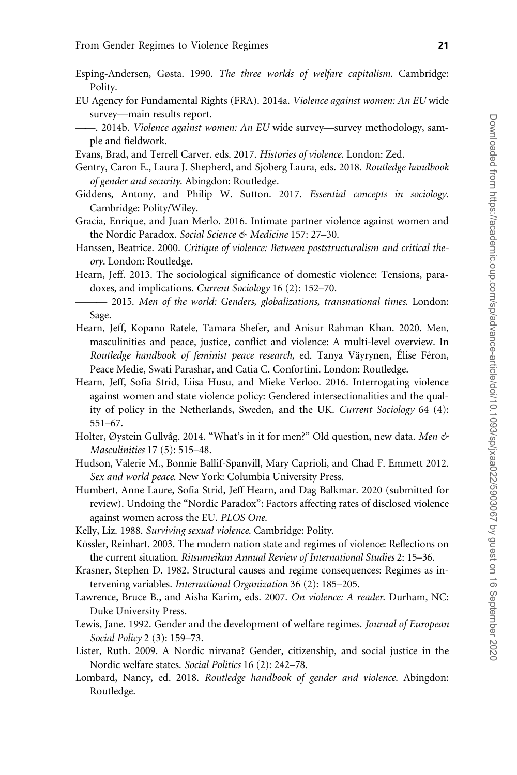- <span id="page-20-0"></span>Esping-Andersen, Gøsta. 1990. The three worlds of welfare capitalism. Cambridge: Polity.
- EU Agency for Fundamental Rights (FRA). 2014a. Violence against women: An EU wide survey—main results report.
- ——. 2014b. Violence against women: An EU wide survey—survey methodology, sample and fieldwork.
- Evans, Brad, and Terrell Carver. eds. 2017. Histories of violence. London: Zed.
- Gentry, Caron E., Laura J. Shepherd, and Sjoberg Laura, eds. 2018. Routledge handbook of gender and security. Abingdon: Routledge.
- Giddens, Antony, and Philip W. Sutton. 2017. Essential concepts in sociology. Cambridge: Polity/Wiley.
- Gracia, Enrique, and Juan Merlo. 2016. Intimate partner violence against women and the Nordic Paradox. Social Science & Medicine 157: 27–30.
- Hanssen, Beatrice. 2000. Critique of violence: Between poststructuralism and critical theory. London: Routledge.
- Hearn, Jeff. 2013. The sociological significance of domestic violence: Tensions, paradoxes, and implications. Current Sociology 16 (2): 152–70.

- 2015. Men of the world: Genders, globalizations, transnational times. London: Sage.

- Hearn, Jeff, Kopano Ratele, Tamara Shefer, and Anisur Rahman Khan. 2020. Men, masculinities and peace, justice, conflict and violence: A multi-level overview. In Routledge handbook of feminist peace research, ed. Tanya Väyrynen, Élise Féron, Peace Medie, Swati Parashar, and Catia C. Confortini. London: Routledge.
- Hearn, Jeff, Sofia Strid, Liisa Husu, and Mieke Verloo. 2016. Interrogating violence against women and state violence policy: Gendered intersectionalities and the quality of policy in the Netherlands, Sweden, and the UK. Current Sociology 64 (4): 551–67.
- Holter, Øystein Gullvåg. 2014. "What's in it for men?" Old question, new data. Men & Masculinities 17 (5): 515–48.
- Hudson, Valerie M., Bonnie Ballif-Spanvill, Mary Caprioli, and Chad F. Emmett 2012. Sex and world peace. New York: Columbia University Press.
- Humbert, Anne Laure, Sofia Strid, Jeff Hearn, and Dag Balkmar. 2020 (submitted for review). Undoing the "Nordic Paradox": Factors affecting rates of disclosed violence against women across the EU. PLOS One.
- Kelly, Liz. 1988. Surviving sexual violence. Cambridge: Polity.
- Kössler, Reinhart. 2003. The modern nation state and regimes of violence: Reflections on the current situation. Ritsumeikan Annual Review of International Studies 2: 15–36.
- Krasner, Stephen D. 1982. Structural causes and regime consequences: Regimes as intervening variables. International Organization 36 (2): 185–205.
- Lawrence, Bruce B., and Aisha Karim, eds. 2007. On violence: A reader. Durham, NC: Duke University Press.
- Lewis, Jane. 1992. Gender and the development of welfare regimes. Journal of European Social Policy 2 (3): 159–73.
- Lister, Ruth. 2009. A Nordic nirvana? Gender, citizenship, and social justice in the Nordic welfare states. Social Politics 16 (2): 242–78.
- Lombard, Nancy, ed. 2018. Routledge handbook of gender and violence. Abingdon: Routledge.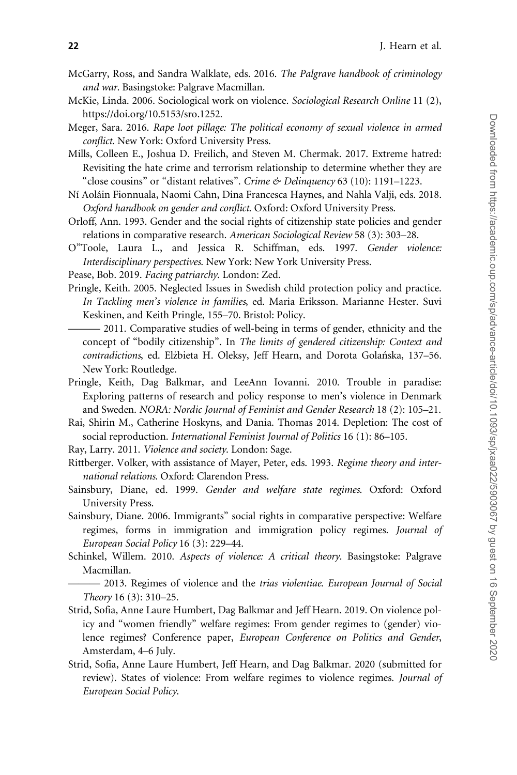- <span id="page-21-0"></span>McGarry, Ross, and Sandra Walklate, eds. 2016. The Palgrave handbook of criminology and war. Basingstoke: Palgrave Macmillan.
- McKie, Linda. 2006. Sociological work on violence. Sociological Research Online 11 (2), [https://doi.org/10.5153/sro.1252.](https://doi.org/10.5153/sro.1252)
- Meger, Sara. 2016. Rape loot pillage: The political economy of sexual violence in armed conflict. New York: Oxford University Press.
- Mills, Colleen E., Joshua D. Freilich, and Steven M. Chermak. 2017. Extreme hatred: Revisiting the hate crime and terrorism relationship to determine whether they are "close cousins" or "distant relatives". Crime & Delinquency 63 (10): 1191–1223.
- Nı´ Aola´in Fionnuala, Naomi Cahn, Dina Francesca Haynes, and Nahla Valji, eds. 2018. Oxford handbook on gender and conflict. Oxford: Oxford University Press.
- Orloff, Ann. 1993. Gender and the social rights of citizenship state policies and gender relations in comparative research. American Sociological Review 58 (3): 303–28.
- O"Toole, Laura L., and Jessica R. Schiffman, eds. 1997. Gender violence: Interdisciplinary perspectives. New York: New York University Press.
- Pease, Bob. 2019. Facing patriarchy. London: Zed.
- Pringle, Keith. 2005. Neglected Issues in Swedish child protection policy and practice. In Tackling men's violence in families, ed. Maria Eriksson. Marianne Hester. Suvi Keskinen, and Keith Pringle, 155–70. Bristol: Policy.
	- 2011. Comparative studies of well-being in terms of gender, ethnicity and the concept of "bodily citizenship". In The limits of gendered citizenship: Context and contradictions, ed. Elżbieta H. Oleksy, Jeff Hearn, and Dorota Golańska, 137–56. New York: Routledge.
- Pringle, Keith, Dag Balkmar, and LeeAnn Iovanni. 2010. Trouble in paradise: Exploring patterns of research and policy response to men's violence in Denmark and Sweden. NORA: Nordic Journal of Feminist and Gender Research 18 (2): 105–21.
- Rai, Shirin M., Catherine Hoskyns, and Dania. Thomas 2014. Depletion: The cost of social reproduction. International Feminist Journal of Politics 16 (1): 86–105.

Ray, Larry. 2011. Violence and society. London: Sage.

- Rittberger. Volker, with assistance of Mayer, Peter, eds. 1993. Regime theory and international relations. Oxford: Clarendon Press.
- Sainsbury, Diane, ed. 1999. Gender and welfare state regimes. Oxford: Oxford University Press.
- Sainsbury, Diane. 2006. Immigrants" social rights in comparative perspective: Welfare regimes, forms in immigration and immigration policy regimes. Journal of European Social Policy 16 (3): 229–44.
- Schinkel, Willem. 2010. Aspects of violence: A critical theory. Basingstoke: Palgrave Macmillan.

- 2013. Regimes of violence and the trias violentiae. European Journal of Social Theory 16 (3): 310–25.

- Strid, Sofia, Anne Laure Humbert, Dag Balkmar and Jeff Hearn. 2019. On violence policy and "women friendly" welfare regimes: From gender regimes to (gender) violence regimes? Conference paper, European Conference on Politics and Gender, Amsterdam, 4–6 July.
- Strid, Sofia, Anne Laure Humbert, Jeff Hearn, and Dag Balkmar. 2020 (submitted for review). States of violence: From welfare regimes to violence regimes. Journal of European Social Policy.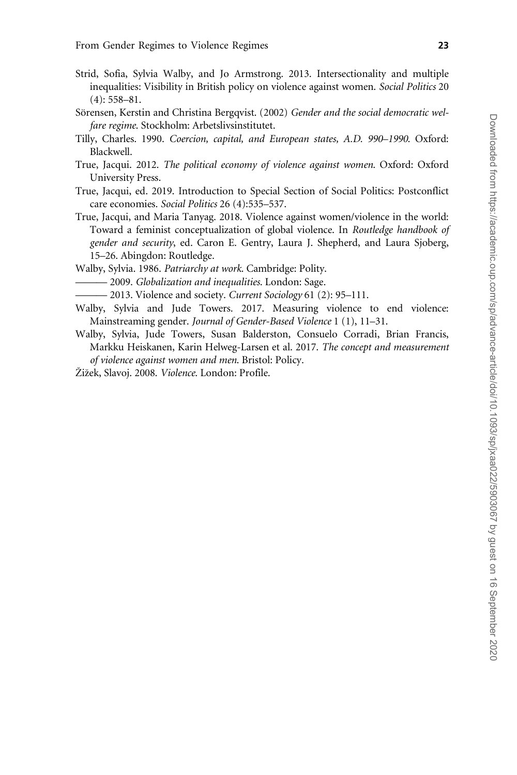- <span id="page-22-0"></span>Strid, Sofia, Sylvia Walby, and Jo Armstrong. 2013. Intersectionality and multiple inequalities: Visibility in British policy on violence against women. Social Politics 20 (4): 558–81.
- Sörensen, Kerstin and Christina Bergqvist. (2002) Gender and the social democratic welfare regime. Stockholm: Arbetslivsinstitutet.
- Tilly, Charles. 1990. Coercion, capital, and European states, A.D. 990–1990. Oxford: Blackwell.
- True, Jacqui. 2012. The political economy of violence against women. Oxford: Oxford University Press.
- True, Jacqui, ed. 2019. Introduction to Special Section of Social Politics: Postconflict care economies. Social Politics 26 (4):535–537.
- True, Jacqui, and Maria Tanyag. 2018. Violence against women/violence in the world: Toward a feminist conceptualization of global violence. In Routledge handbook of gender and security, ed. Caron E. Gentry, Laura J. Shepherd, and Laura Sjoberg, 15–26. Abingdon: Routledge.
- Walby, Sylvia. 1986. Patriarchy at work. Cambridge: Polity.
	- $-$  2009. Globalization and inequalities. London: Sage.
		- -2013. Violence and society. Current Sociology 61 (2): 95-111.
- Walby, Sylvia and Jude Towers. 2017. Measuring violence to end violence: Mainstreaming gender. Journal of Gender-Based Violence 1 (1), 11–31.
- Walby, Sylvia, Jude Towers, Susan Balderston, Consuelo Corradi, Brian Francis, Markku Heiskanen, Karin Helweg-Larsen et al. 2017. The concept and measurement of violence against women and men. Bristol: Policy.
- Žižek, Slavoj. 2008. Violence. London: Profile.